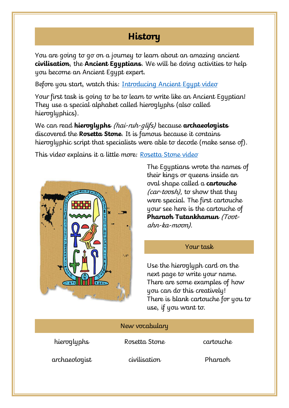## **History**

You are going to go on a journey to learn about an amazing ancient **civilisation**, the **Ancient Egyptians**. We will be doing activities to help you become an Ancient Egypt expert.

Before you start, watch this: Introducing Ancient Equpt video

Your first task is going to be to learn to write like an Ancient Egyptian! They use a special alphabet called hieroglyphs (also called hieroglyphics).

We can read **hieroglyphs** (hai-ruh-glifs) because **archaeologists** discovered the **Rosetta Stone**. It is famous because it contains hieroglyphic script that specialists were able to decode (make sense of).

This video explains it a little more: [Rosetta Stone video](https://www.youtube.com/watch?v=yeQ-6eyMQ_o)



The Egyptians wrote the names of their kings or queens inside an oval shape called a **cartouche** (car-toosh), to show that they were special. The first cartouche your see here is the cartouche of **Pharaoh Tutankhamun** (Tootahn-ka-moon).

## Your task

Use the hieroglyph card on the next page to write your name. There are some examples of how you can do this creatively! There is blank cartouche for you to use, if you want to.

|               | New vocabulary |           |
|---------------|----------------|-----------|
| hieroglyphs   | Rosetta Stone  | cartouche |
| archaeologist | civilisation   | Pharaoh   |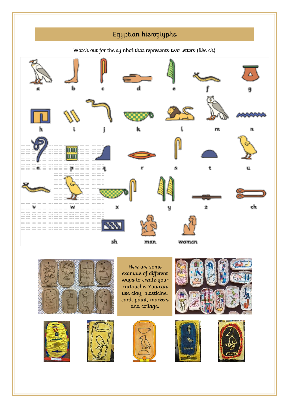







Here are some example of different ways to create your cartouche. You can use clay, plasticine, card, paint, markers and collage.







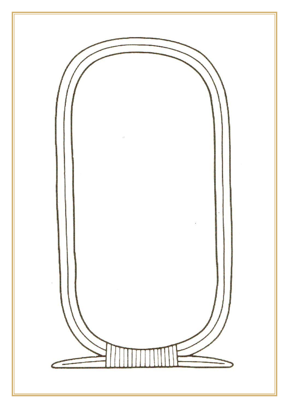